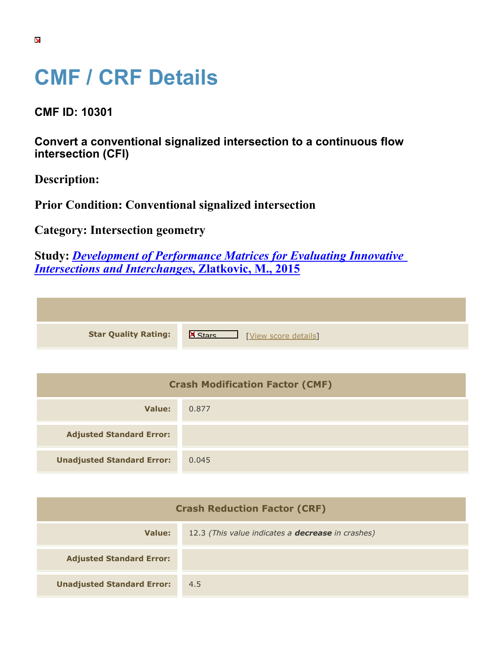## **CMF / CRF Details**

**CMF ID: 10301**

**Convert a conventional signalized intersection to a continuous flow intersection (CFI)**

**Description:** 

**Prior Condition: Conventional signalized intersection**

**Category: Intersection geometry**

**Study:** *[Development of Performance Matrices for Evaluating Innovative](https://cmfclearinghouse.org/study_detail.cfm?stid=598) [Intersections and Interchanges](https://cmfclearinghouse.org/study_detail.cfm?stid=598)***[, Zlatkovic, M., 2015](https://cmfclearinghouse.org/study_detail.cfm?stid=598)**

| <b>Star Quality Rating:</b> |  |
|-----------------------------|--|
|                             |  |

**X** [[View score details](https://cmfclearinghouse.org/score_details.cfm?facid=10301)]

| <b>Crash Modification Factor (CMF)</b> |       |  |
|----------------------------------------|-------|--|
| Value:                                 | 0.877 |  |
| <b>Adjusted Standard Error:</b>        |       |  |
| <b>Unadjusted Standard Error:</b>      | 0.045 |  |

| <b>Crash Reduction Factor (CRF)</b> |                                                          |  |
|-------------------------------------|----------------------------------------------------------|--|
| Value:                              | 12.3 (This value indicates a <b>decrease</b> in crashes) |  |
| <b>Adjusted Standard Error:</b>     |                                                          |  |
| <b>Unadjusted Standard Error:</b>   | 4.5                                                      |  |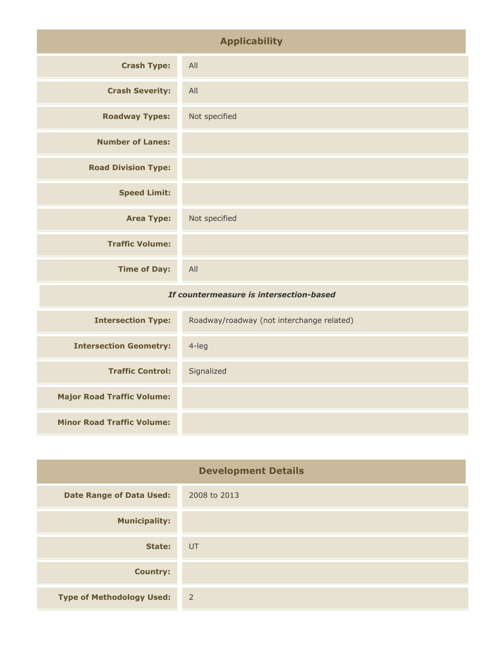| <b>Applicability</b>                    |                                           |
|-----------------------------------------|-------------------------------------------|
| <b>Crash Type:</b>                      | All                                       |
| <b>Crash Severity:</b>                  | All                                       |
| <b>Roadway Types:</b>                   | Not specified                             |
| <b>Number of Lanes:</b>                 |                                           |
| <b>Road Division Type:</b>              |                                           |
| <b>Speed Limit:</b>                     |                                           |
| <b>Area Type:</b>                       | Not specified                             |
| <b>Traffic Volume:</b>                  |                                           |
| <b>Time of Day:</b>                     | All                                       |
| If countermeasure is intersection-based |                                           |
| <b>Intersection Type:</b>               | Roadway/roadway (not interchange related) |
| <b>Intersection Geometry:</b>           | $4$ -leg                                  |
| <b>Traffic Control:</b>                 | Signalized                                |

| <b>Development Details</b>       |                |
|----------------------------------|----------------|
| <b>Date Range of Data Used:</b>  | 2008 to 2013   |
| <b>Municipality:</b>             |                |
| State:                           | UT             |
| <b>Country:</b>                  |                |
| <b>Type of Methodology Used:</b> | $\overline{2}$ |

**Major Road Traffic Volume:**

**Minor Road Traffic Volume:**